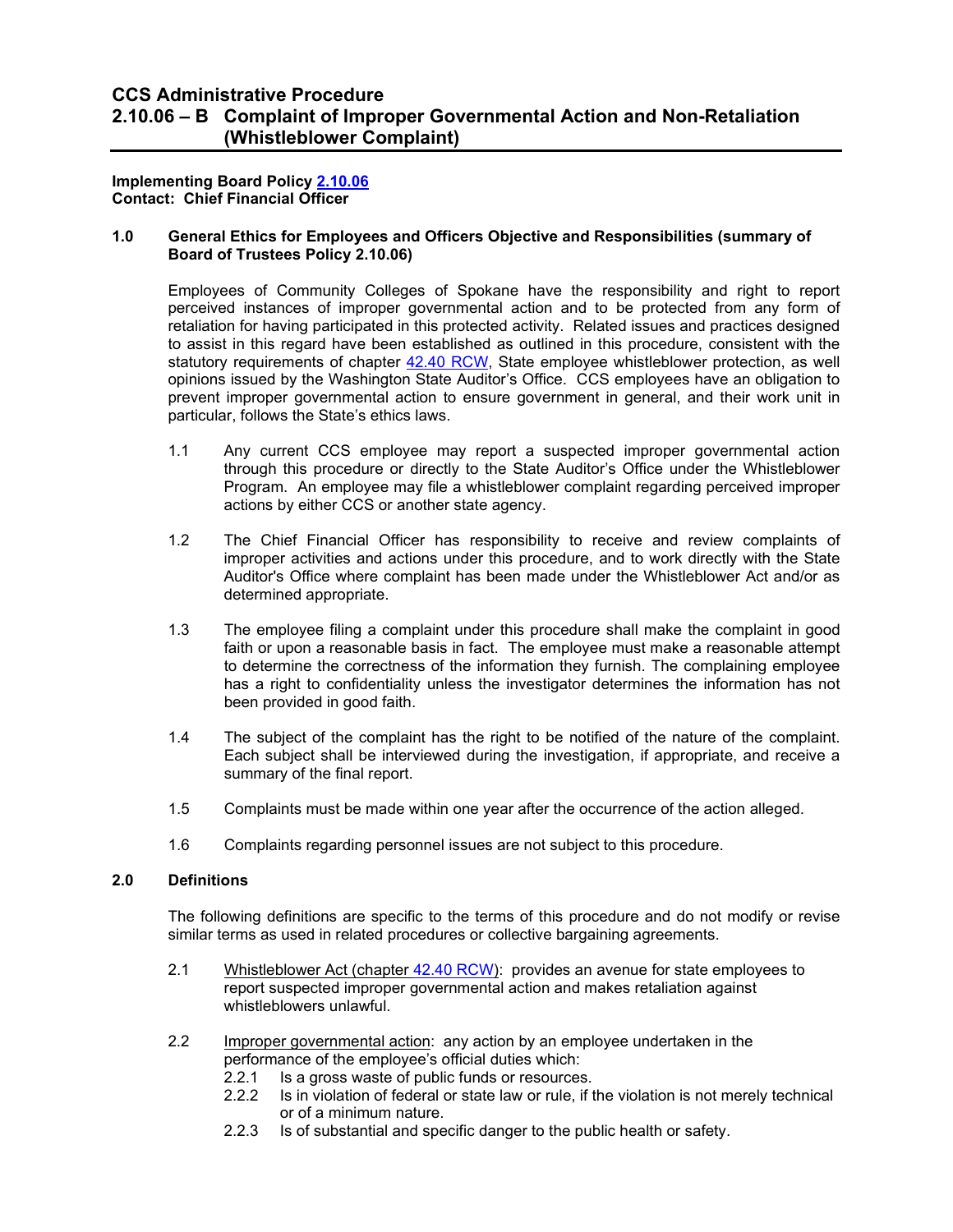# **CCS Administrative Procedure 2.10.06 – B Complaint of Improper Governmental Action and Non-Retaliation (Whistleblower Complaint)**

**Implementing Board Policy [2.10.06](https://ccs.spokane.edu/About-Us/Leadership/Board-of-Trustees/Policies-Procedures/Chapter2#AccWE2-7) Contact: Chief Financial Officer**

## **1.0 General Ethics for Employees and Officers Objective and Responsibilities (summary of Board of Trustees Policy 2.10.06)**

Employees of Community Colleges of Spokane have the responsibility and right to report perceived instances of improper governmental action and to be protected from any form of retaliation for having participated in this protected activity. Related issues and practices designed to assist in this regard have been established as outlined in this procedure, consistent with the statutory requirements of chapter [42.40 RCW,](http://apps.leg.wa.gov/RCW/default.aspx?cite=42.40) State employee whistleblower protection, as well opinions issued by the Washington State Auditor's Office. CCS employees have an obligation to prevent improper governmental action to ensure government in general, and their work unit in particular, follows the State's ethics laws.

- 1.1 Any current CCS employee may report a suspected improper governmental action through this procedure or directly to the State Auditor's Office under the Whistleblower Program. An employee may file a whistleblower complaint regarding perceived improper actions by either CCS or another state agency.
- 1.2 The Chief Financial Officer has responsibility to receive and review complaints of improper activities and actions under this procedure, and to work directly with the State Auditor's Office where complaint has been made under the Whistleblower Act and/or as determined appropriate.
- 1.3 The employee filing a complaint under this procedure shall make the complaint in good faith or upon a reasonable basis in fact. The employee must make a reasonable attempt to determine the correctness of the information they furnish. The complaining employee has a right to confidentiality unless the investigator determines the information has not been provided in good faith.
- 1.4 The subject of the complaint has the right to be notified of the nature of the complaint. Each subject shall be interviewed during the investigation, if appropriate, and receive a summary of the final report.
- 1.5 Complaints must be made within one year after the occurrence of the action alleged.
- 1.6 Complaints regarding personnel issues are not subject to this procedure.

### **2.0 Definitions**

The following definitions are specific to the terms of this procedure and do not modify or revise similar terms as used in related procedures or collective bargaining agreements.

- 2.1 Whistleblower Act (chapter [42.40 RCW\)](http://apps.leg.wa.gov/RCW/default.aspx?cite=42.40):provides an avenue for state employees to report suspected improper governmental action and makes retaliation against whistleblowers unlawful.
- 2.2 Improper governmental action: any action by an employee undertaken in the performance of the employee's official duties which:
	- 2.2.1 Is a gross waste of public funds or resources.<br>2.2.2 Is in violation of federal or state law or rule. if t
	- Is in violation of federal or state law or rule, if the violation is not merely technical or of a minimum nature.
	- 2.2.3 Is of substantial and specific danger to the public health or safety.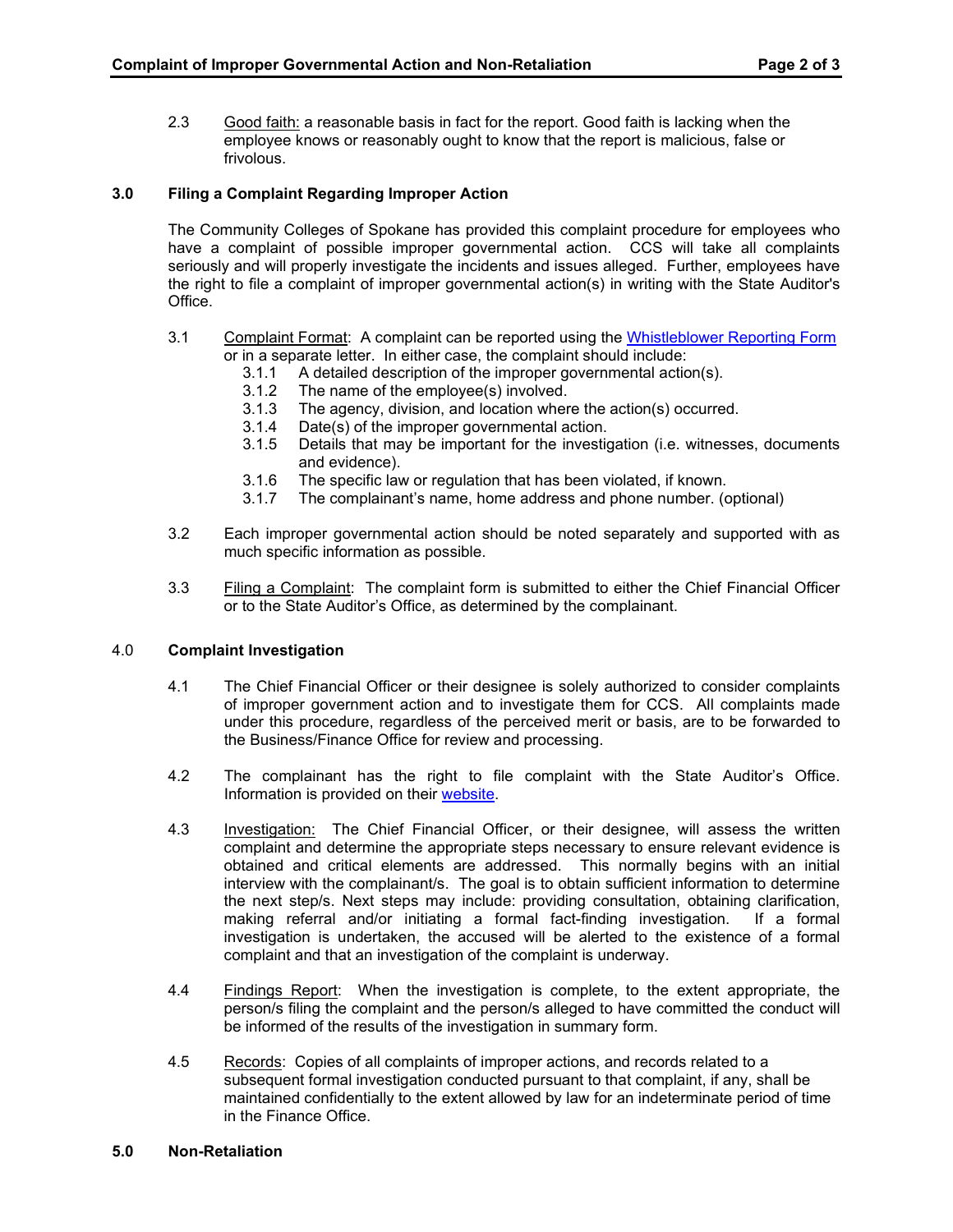2.3 Good faith: a reasonable basis in fact for the report. Good faith is lacking when the employee knows or reasonably ought to know that the report is malicious, false or frivolous.

# **3.0 Filing a Complaint Regarding Improper Action**

The Community Colleges of Spokane has provided this complaint procedure for employees who have a complaint of possible improper governmental action. CCS will take all complaints seriously and will properly investigate the incidents and issues alleged. Further, employees have the right to file a complaint of improper governmental action(s) in writing with the State Auditor's Office.

#### 3.1 Complaint Format: A complaint can be reported using the [Whistleblower Reporting Form](https://sao.wa.gov/wp-content/uploads/Tabs/ReportAConcern/WhistleblowerProgram/WBReportForm.pdf)  or in a separate letter. In either case, the complaint should include:

- 3.1.1 A detailed description of the improper governmental action(s).
- 3.1.2 The name of the employee(s) involved.<br>3.1.3 The agency, division, and location where
- 3.1.3 The agency, division, and location where the action(s) occurred.<br>3.1.4 Date(s) of the improper governmental action.
- Date(s) of the improper governmental action.
- 3.1.5 Details that may be important for the investigation (i.e. witnesses, documents and evidence).
- 3.1.6 The specific law or regulation that has been violated, if known.
- 3.1.7 The complainant's name, home address and phone number. (optional)
- 3.2 Each improper governmental action should be noted separately and supported with as much specific information as possible.
- 3.3 Filing a Complaint: The complaint form is submitted to either the Chief Financial Officer or to the State Auditor's Office, as determined by the complainant.

## 4.0 **Complaint Investigation**

- 4.1 The Chief Financial Officer or their designee is solely authorized to consider complaints of improper government action and to investigate them for CCS. All complaints made under this procedure, regardless of the perceived merit or basis, are to be forwarded to the Business/Finance Office for review and processing.
- 4.2 The complainant has the right to file complaint with the State Auditor's Office. Information is provided on their [website.](https://sao.wa.gov/report-a-concern/how-to-report-a-concern/whistleblower-program/)
- 4.3 Investigation: The Chief Financial Officer, or their designee, will assess the written complaint and determine the appropriate steps necessary to ensure relevant evidence is obtained and critical elements are addressed. This normally begins with an initial interview with the complainant/s. The goal is to obtain sufficient information to determine the next step/s. Next steps may include: providing consultation, obtaining clarification, making referral and/or initiating a formal fact-finding investigation. If a formal investigation is undertaken, the accused will be alerted to the existence of a formal complaint and that an investigation of the complaint is underway.
- 4.4 Findings Report: When the investigation is complete, to the extent appropriate, the person/s filing the complaint and the person/s alleged to have committed the conduct will be informed of the results of the investigation in summary form.
- 4.5 Records: Copies of all complaints of improper actions, and records related to a subsequent formal investigation conducted pursuant to that complaint, if any, shall be maintained confidentially to the extent allowed by law for an indeterminate period of time in the Finance Office.
- **5.0 Non-Retaliation**